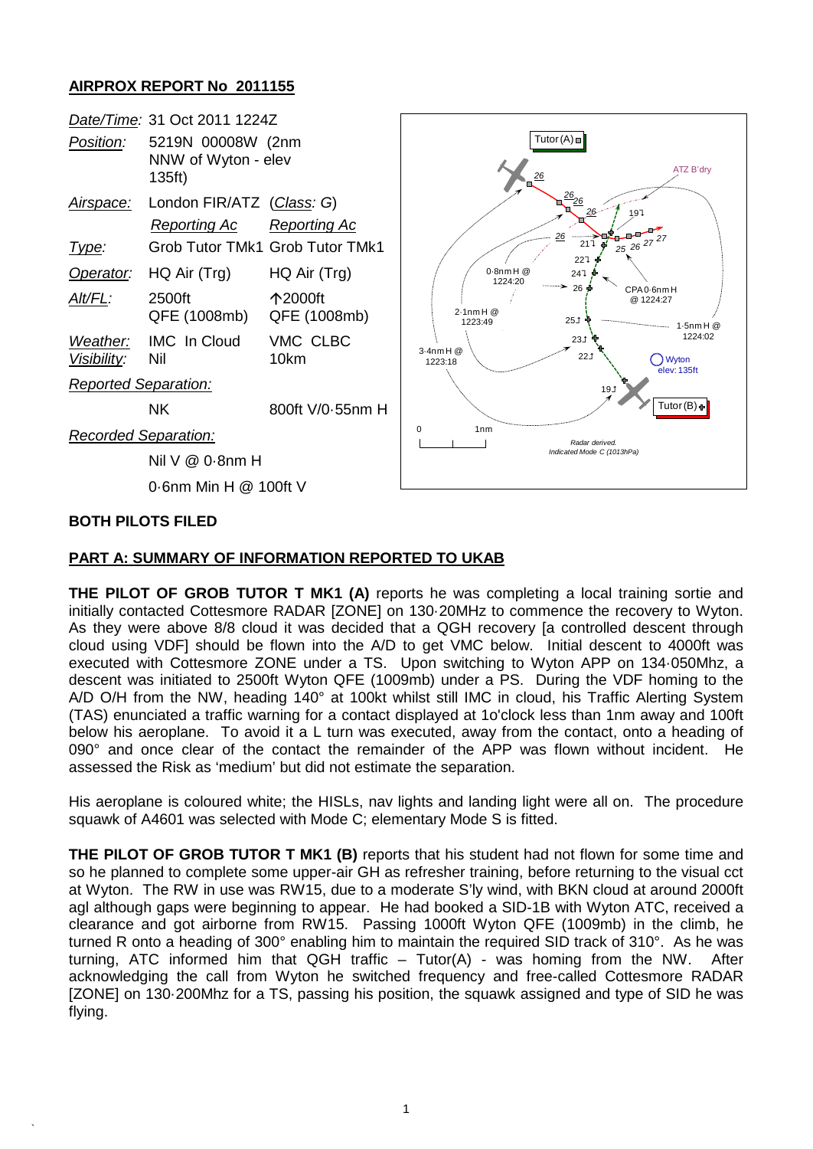## **AIRPROX REPORT No 2011155**

| Date/Time: 31 Oct 2011 1224Z   |                                                    |                                 |                                                                                       |
|--------------------------------|----------------------------------------------------|---------------------------------|---------------------------------------------------------------------------------------|
| Position:                      | 5219N 00008W (2nm<br>NNW of Wyton - elev<br>135ft) |                                 | Tutor $(A)$ $\Box$<br>ATZ B'dry<br>$\frac{26}{5}$                                     |
| Airspace:                      | London FIR/ATZ (Class: G)                          |                                 | $\frac{26}{26}$<br>26<br>197                                                          |
|                                | <b>Reporting Ac</b>                                | <b>Reporting Ac</b>             | هبر<br>26                                                                             |
| <u>Type:</u>                   |                                                    | Grob Tutor TMk1 Grob Tutor TMk1 | 25 26 <sup>27 27</sup><br>211<br>22 <sup>7</sup>                                      |
| Operator:                      | HQ Air (Trg)                                       | HQ Air (Trg)                    | $0.8$ nm $H @$<br>247<br>1224:20                                                      |
| Alt/FL:                        | 2500ft<br>QFE (1008mb)                             | 个2000ft<br>QFE (1008mb)         | 26 ∯<br>CPA 0-6nm H<br>@ 1224:27<br>$2.1$ nm H $@$<br>251<br>1223:49<br>$1.5$ nm $H@$ |
| Weather:<br><u>Visibility:</u> | <b>IMC</b> In Cloud<br>Nil                         | VMC CLBC<br>10km                | 1224:02<br>231<br>$3.4$ nm $H@$<br>22.1<br>Wyton<br>1223:18<br>elev: 135ft            |
| <b>Reported Separation:</b>    |                                                    |                                 | 191                                                                                   |
|                                | <b>NK</b>                                          | 800ft V/0-55nm H                | Tutor(B) +                                                                            |
| <b>Recorded Separation:</b>    |                                                    |                                 | 0<br>1 <sub>nm</sub><br>Radar derived.                                                |
|                                | Nil V @ 0.8nm H                                    |                                 | Indicated Mode C (1013hPa)                                                            |
| 0.6nm Min H @ 100ft V          |                                                    |                                 |                                                                                       |
| <b>BOTH PILOTS FILED</b>       |                                                    |                                 |                                                                                       |

## **PART A: SUMMARY OF INFORMATION REPORTED TO UKAB**

**THE PILOT OF GROB TUTOR T MK1 (A)** reports he was completing a local training sortie and initially contacted Cottesmore RADAR [ZONE] on 130·20MHz to commence the recovery to Wyton. As they were above 8/8 cloud it was decided that a QGH recovery [a controlled descent through cloud using VDF] should be flown into the A/D to get VMC below. Initial descent to 4000ft was executed with Cottesmore ZONE under a TS. Upon switching to Wyton APP on 134·050Mhz, a descent was initiated to 2500ft Wyton QFE (1009mb) under a PS. During the VDF homing to the A/D O/H from the NW, heading 140° at 100kt whilst still IMC in cloud, his Traffic Alerting System (TAS) enunciated a traffic warning for a contact displayed at 1o'clock less than 1nm away and 100ft below his aeroplane. To avoid it a L turn was executed, away from the contact, onto a heading of 090° and once clear of the contact the remainder of the APP was flown without incident. He assessed the Risk as 'medium' but did not estimate the separation.

His aeroplane is coloured white; the HISLs, nav lights and landing light were all on. The procedure squawk of A4601 was selected with Mode C; elementary Mode S is fitted.

**THE PILOT OF GROB TUTOR T MK1 (B)** reports that his student had not flown for some time and so he planned to complete some upper-air GH as refresher training, before returning to the visual cct at Wyton. The RW in use was RW15, due to a moderate S'ly wind, with BKN cloud at around 2000ft agl although gaps were beginning to appear. He had booked a SID-1B with Wyton ATC, received a clearance and got airborne from RW15. Passing 1000ft Wyton QFE (1009mb) in the climb, he turned R onto a heading of 300° enabling him to maintain the required SID track of 310°. As he was turning, ATC informed him that QGH traffic – Tutor(A) - was homing from the NW. After acknowledging the call from Wyton he switched frequency and free-called Cottesmore RADAR [ZONE] on 130·200Mhz for a TS, passing his position, the squawk assigned and type of SID he was flying.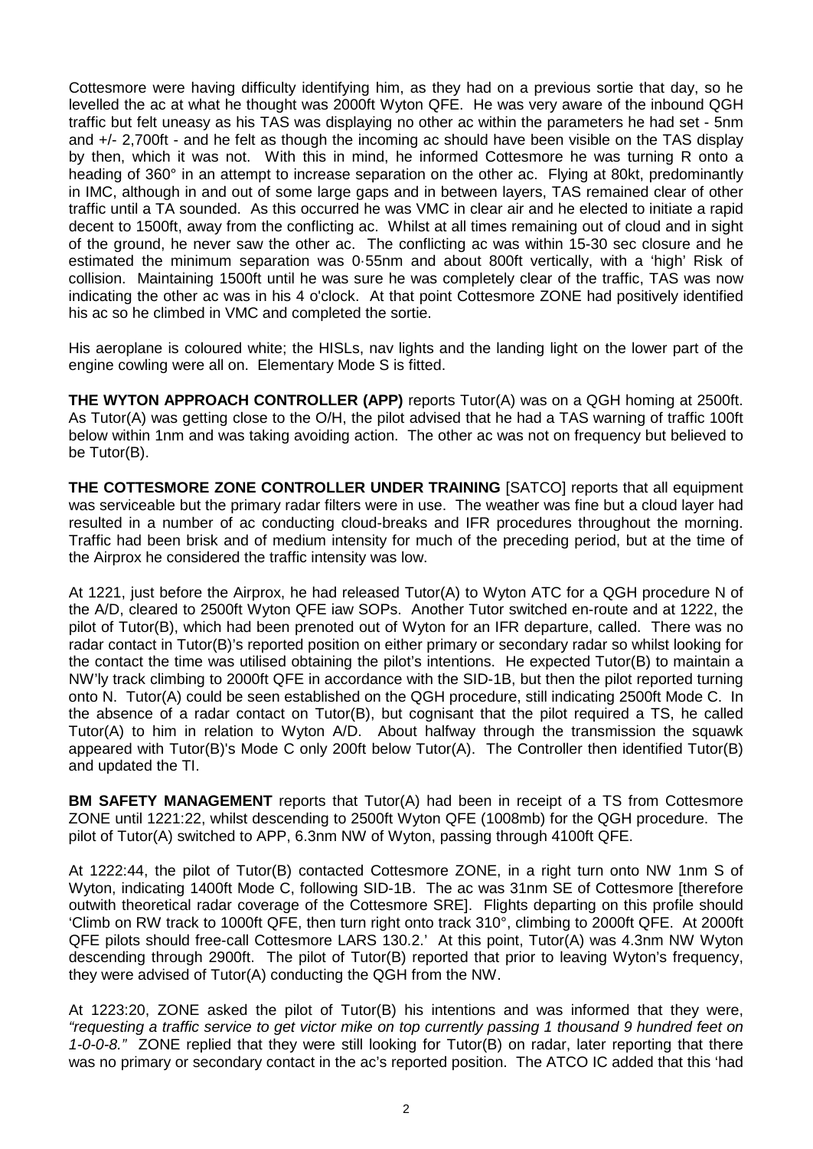Cottesmore were having difficulty identifying him, as they had on a previous sortie that day, so he levelled the ac at what he thought was 2000ft Wyton QFE. He was very aware of the inbound QGH traffic but felt uneasy as his TAS was displaying no other ac within the parameters he had set - 5nm and +/- 2,700ft - and he felt as though the incoming ac should have been visible on the TAS display by then, which it was not. With this in mind, he informed Cottesmore he was turning R onto a heading of 360° in an attempt to increase separation on the other ac. Flying at 80kt, predominantly in IMC, although in and out of some large gaps and in between layers, TAS remained clear of other traffic until a TA sounded. As this occurred he was VMC in clear air and he elected to initiate a rapid decent to 1500ft, away from the conflicting ac. Whilst at all times remaining out of cloud and in sight of the ground, he never saw the other ac. The conflicting ac was within 15-30 sec closure and he estimated the minimum separation was 0·55nm and about 800ft vertically, with a 'high' Risk of collision. Maintaining 1500ft until he was sure he was completely clear of the traffic, TAS was now indicating the other ac was in his 4 o'clock. At that point Cottesmore ZONE had positively identified his ac so he climbed in VMC and completed the sortie.

His aeroplane is coloured white; the HISLs, nav lights and the landing light on the lower part of the engine cowling were all on. Elementary Mode S is fitted.

**THE WYTON APPROACH CONTROLLER (APP)** reports Tutor(A) was on a QGH homing at 2500ft. As Tutor(A) was getting close to the O/H, the pilot advised that he had a TAS warning of traffic 100ft below within 1nm and was taking avoiding action. The other ac was not on frequency but believed to be Tutor(B).

**THE COTTESMORE ZONE CONTROLLER UNDER TRAINING** [SATCO] reports that all equipment was serviceable but the primary radar filters were in use. The weather was fine but a cloud layer had resulted in a number of ac conducting cloud-breaks and IFR procedures throughout the morning. Traffic had been brisk and of medium intensity for much of the preceding period, but at the time of the Airprox he considered the traffic intensity was low.

At 1221, just before the Airprox, he had released Tutor(A) to Wyton ATC for a QGH procedure N of the A/D, cleared to 2500ft Wyton QFE iaw SOPs. Another Tutor switched en-route and at 1222, the pilot of Tutor(B), which had been prenoted out of Wyton for an IFR departure, called. There was no radar contact in Tutor(B)'s reported position on either primary or secondary radar so whilst looking for the contact the time was utilised obtaining the pilot's intentions. He expected Tutor(B) to maintain a NW'ly track climbing to 2000ft QFE in accordance with the SID-1B, but then the pilot reported turning onto N. Tutor(A) could be seen established on the QGH procedure, still indicating 2500ft Mode C. In the absence of a radar contact on Tutor(B), but cognisant that the pilot required a TS, he called Tutor(A) to him in relation to Wyton A/D. About halfway through the transmission the squawk appeared with Tutor(B)'s Mode C only 200ft below Tutor(A). The Controller then identified Tutor(B) and updated the TI.

**BM SAFETY MANAGEMENT** reports that Tutor(A) had been in receipt of a TS from Cottesmore ZONE until 1221:22, whilst descending to 2500ft Wyton QFE (1008mb) for the QGH procedure. The pilot of Tutor(A) switched to APP, 6.3nm NW of Wyton, passing through 4100ft QFE.

At 1222:44, the pilot of Tutor(B) contacted Cottesmore ZONE, in a right turn onto NW 1nm S of Wyton, indicating 1400ft Mode C, following SID-1B. The ac was 31nm SE of Cottesmore [therefore outwith theoretical radar coverage of the Cottesmore SRE]. Flights departing on this profile should 'Climb on RW track to 1000ft QFE, then turn right onto track 310°, climbing to 2000ft QFE. At 2000ft QFE pilots should free-call Cottesmore LARS 130.2.' At this point, Tutor(A) was 4.3nm NW Wyton descending through 2900ft. The pilot of Tutor(B) reported that prior to leaving Wyton's frequency, they were advised of Tutor(A) conducting the QGH from the NW.

At 1223:20, ZONE asked the pilot of Tutor(B) his intentions and was informed that they were, *"requesting a traffic service to get victor mike on top currently passing 1 thousand 9 hundred feet on 1-0-0-8."* ZONE replied that they were still looking for Tutor(B) on radar, later reporting that there was no primary or secondary contact in the ac's reported position. The ATCO IC added that this 'had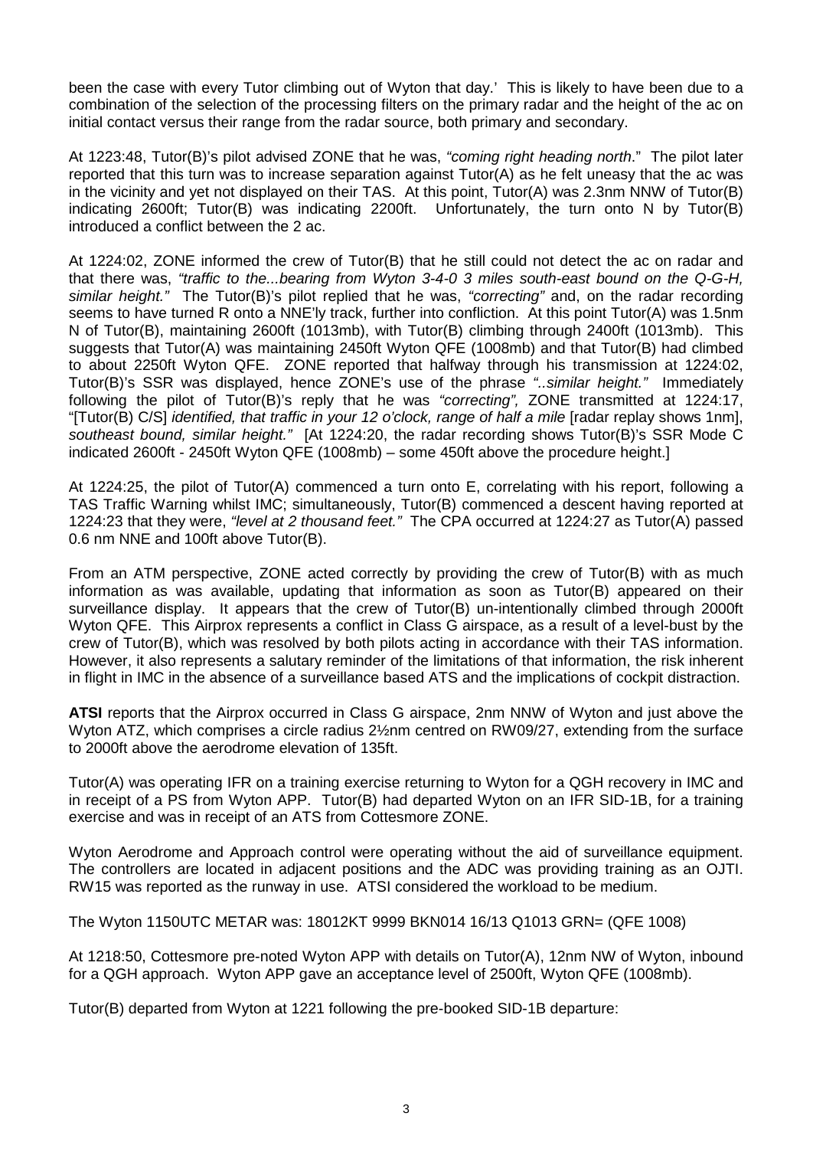been the case with every Tutor climbing out of Wyton that day.' This is likely to have been due to a combination of the selection of the processing filters on the primary radar and the height of the ac on initial contact versus their range from the radar source, both primary and secondary.

At 1223:48, Tutor(B)'s pilot advised ZONE that he was, *"coming right heading north*." The pilot later reported that this turn was to increase separation against Tutor(A) as he felt uneasy that the ac was in the vicinity and yet not displayed on their TAS. At this point, Tutor(A) was 2.3nm NNW of Tutor(B) indicating 2600ft; Tutor(B) was indicating 2200ft. Unfortunately, the turn onto N by Tutor(B) introduced a conflict between the 2 ac.

At 1224:02, ZONE informed the crew of Tutor(B) that he still could not detect the ac on radar and that there was, *"traffic to the...bearing from Wyton 3-4-0 3 miles south-east bound on the Q-G-H, similar height."* The Tutor(B)'s pilot replied that he was, *"correcting"* and, on the radar recording seems to have turned R onto a NNE'ly track, further into confliction. At this point Tutor(A) was 1.5nm N of Tutor(B), maintaining 2600ft (1013mb), with Tutor(B) climbing through 2400ft (1013mb). This suggests that Tutor(A) was maintaining 2450ft Wyton QFE (1008mb) and that Tutor(B) had climbed to about 2250ft Wyton QFE. ZONE reported that halfway through his transmission at 1224:02, Tutor(B)'s SSR was displayed, hence ZONE's use of the phrase *"..similar height."* Immediately following the pilot of Tutor(B)'s reply that he was *"correcting",* ZONE transmitted at 1224:17, "[Tutor(B) C/S] *identified, that traffic in your 12 o'clock, range of half a mile* [radar replay shows 1nm], *southeast bound, similar height."* [At 1224:20, the radar recording shows Tutor(B)'s SSR Mode C indicated 2600ft - 2450ft Wyton QFE (1008mb) – some 450ft above the procedure height.]

At 1224:25, the pilot of Tutor(A) commenced a turn onto E, correlating with his report, following a TAS Traffic Warning whilst IMC; simultaneously, Tutor(B) commenced a descent having reported at 1224:23 that they were, *"level at 2 thousand feet."* The CPA occurred at 1224:27 as Tutor(A) passed 0.6 nm NNE and 100ft above Tutor(B).

From an ATM perspective, ZONE acted correctly by providing the crew of Tutor(B) with as much information as was available, updating that information as soon as Tutor(B) appeared on their surveillance display. It appears that the crew of Tutor(B) un-intentionally climbed through 2000ft Wyton QFE. This Airprox represents a conflict in Class G airspace, as a result of a level-bust by the crew of Tutor(B), which was resolved by both pilots acting in accordance with their TAS information. However, it also represents a salutary reminder of the limitations of that information, the risk inherent in flight in IMC in the absence of a surveillance based ATS and the implications of cockpit distraction.

**ATSI** reports that the Airprox occurred in Class G airspace, 2nm NNW of Wyton and just above the Wyton ATZ, which comprises a circle radius 2½nm centred on RW09/27, extending from the surface to 2000ft above the aerodrome elevation of 135ft.

Tutor(A) was operating IFR on a training exercise returning to Wyton for a QGH recovery in IMC and in receipt of a PS from Wyton APP. Tutor(B) had departed Wyton on an IFR SID-1B, for a training exercise and was in receipt of an ATS from Cottesmore ZONE.

Wyton Aerodrome and Approach control were operating without the aid of surveillance equipment. The controllers are located in adjacent positions and the ADC was providing training as an OJTI. RW15 was reported as the runway in use. ATSI considered the workload to be medium.

The Wyton 1150UTC METAR was: 18012KT 9999 BKN014 16/13 Q1013 GRN= (QFE 1008)

At 1218:50, Cottesmore pre-noted Wyton APP with details on Tutor(A), 12nm NW of Wyton, inbound for a QGH approach. Wyton APP gave an acceptance level of 2500ft, Wyton QFE (1008mb).

Tutor(B) departed from Wyton at 1221 following the pre-booked SID-1B departure: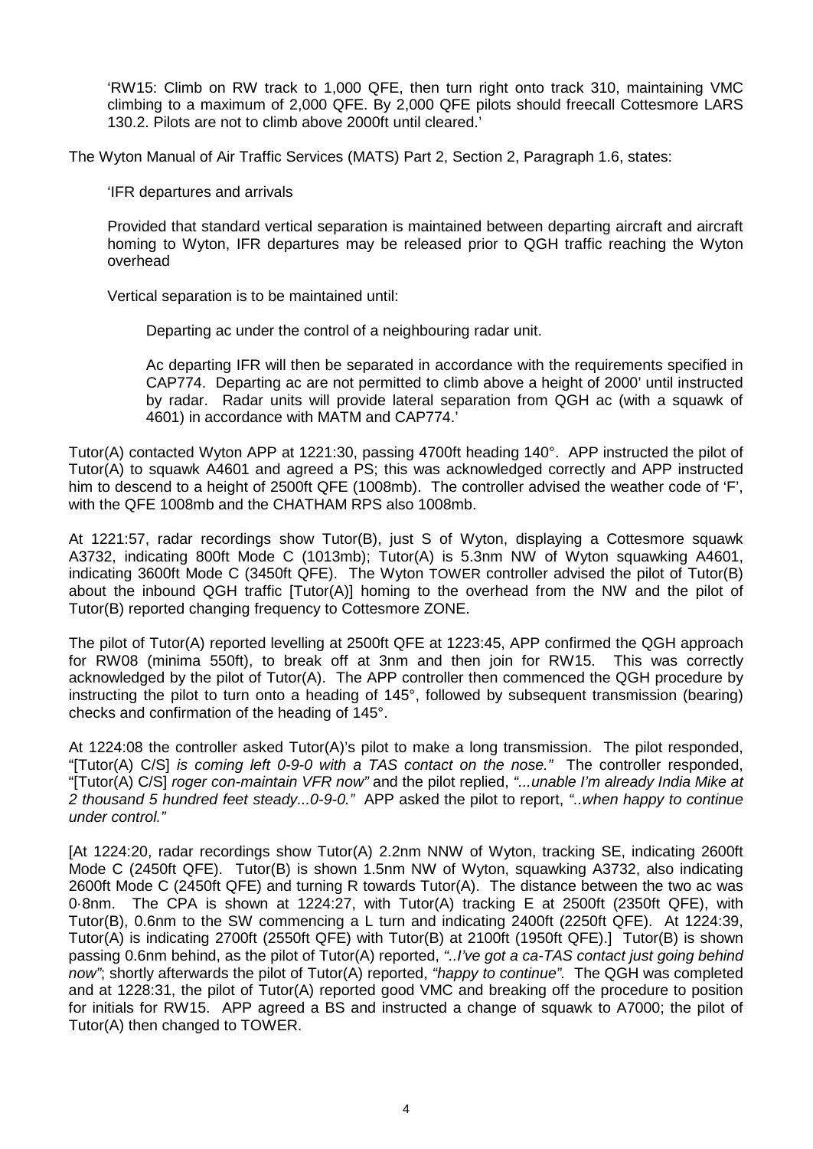'RW15: Climb on RW track to 1,000 QFE, then turn right onto track 310, maintaining VMC climbing to a maximum of 2,000 QFE. By 2,000 QFE pilots should freecall Cottesmore LARS 130.2. Pilots are not to climb above 2000ft until cleared.'

The Wyton Manual of Air Traffic Services (MATS) Part 2, Section 2, Paragraph 1.6, states:

'IFR departures and arrivals

Provided that standard vertical separation is maintained between departing aircraft and aircraft homing to Wyton, IFR departures may be released prior to QGH traffic reaching the Wyton overhead

Vertical separation is to be maintained until:

Departing ac under the control of a neighbouring radar unit.

Ac departing IFR will then be separated in accordance with the requirements specified in CAP774. Departing ac are not permitted to climb above a height of 2000' until instructed by radar. Radar units will provide lateral separation from QGH ac (with a squawk of 4601) in accordance with MATM and CAP774.'

Tutor(A) contacted Wyton APP at 1221:30, passing 4700ft heading 140°. APP instructed the pilot of Tutor(A) to squawk A4601 and agreed a PS; this was acknowledged correctly and APP instructed him to descend to a height of 2500ft QFE (1008mb). The controller advised the weather code of 'F', with the QFE 1008mb and the CHATHAM RPS also 1008mb.

At 1221:57, radar recordings show Tutor(B), just S of Wyton, displaying a Cottesmore squawk A3732, indicating 800ft Mode C (1013mb); Tutor(A) is 5.3nm NW of Wyton squawking A4601, indicating 3600ft Mode C (3450ft QFE). The Wyton TOWER controller advised the pilot of Tutor(B) about the inbound QGH traffic [Tutor(A)] homing to the overhead from the NW and the pilot of Tutor(B) reported changing frequency to Cottesmore ZONE.

The pilot of Tutor(A) reported levelling at 2500ft QFE at 1223:45, APP confirmed the QGH approach for RW08 (minima 550ft), to break off at 3nm and then join for RW15. This was correctly acknowledged by the pilot of Tutor(A). The APP controller then commenced the QGH procedure by instructing the pilot to turn onto a heading of 145°, followed by subsequent transmission (bearing) checks and confirmation of the heading of 145°.

At 1224:08 the controller asked Tutor(A)'s pilot to make a long transmission. The pilot responded, "[Tutor(A) C/S] *is coming left 0-9-0 with a TAS contact on the nose."* The controller responded, "[Tutor(A) C/S] *roger con-maintain VFR now"* and the pilot replied, *"...unable I'm already India Mike at 2 thousand 5 hundred feet steady...0-9-0."* APP asked the pilot to report, *"..when happy to continue under control."* 

[At 1224:20, radar recordings show Tutor(A) 2.2nm NNW of Wyton, tracking SE, indicating 2600ft Mode C (2450ft QFE). Tutor(B) is shown 1.5nm NW of Wyton, squawking A3732, also indicating 2600ft Mode C (2450ft QFE) and turning R towards Tutor(A). The distance between the two ac was 0·8nm. The CPA is shown at 1224:27, with Tutor(A) tracking E at 2500ft (2350ft QFE), with Tutor(B), 0.6nm to the SW commencing a L turn and indicating 2400ft (2250ft QFE). At 1224:39, Tutor(A) is indicating 2700ft (2550ft QFE) with Tutor(B) at 2100ft (1950ft QFE).] Tutor(B) is shown passing 0.6nm behind, as the pilot of Tutor(A) reported, *"..I've got a ca-TAS contact just going behind now"*; shortly afterwards the pilot of Tutor(A) reported, *"happy to continue".* The QGH was completed and at 1228:31, the pilot of Tutor(A) reported good VMC and breaking off the procedure to position for initials for RW15. APP agreed a BS and instructed a change of squawk to A7000; the pilot of Tutor(A) then changed to TOWER.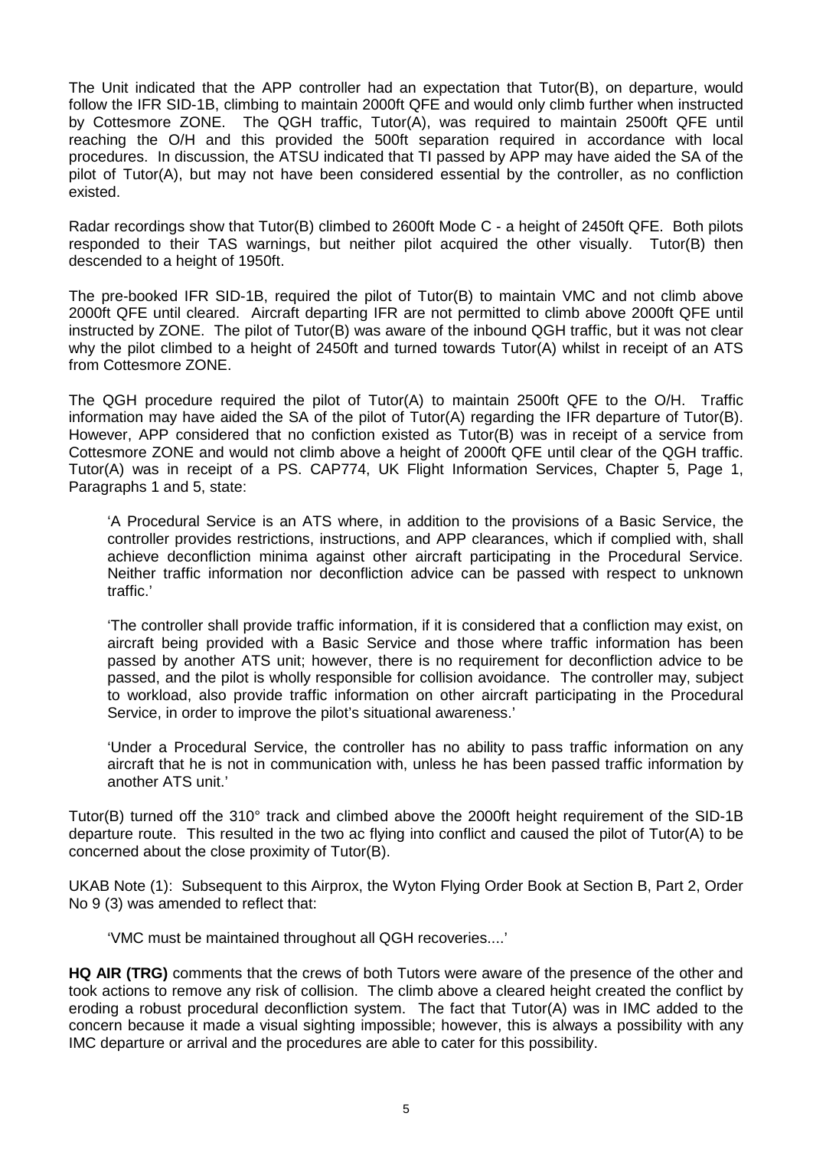The Unit indicated that the APP controller had an expectation that Tutor(B), on departure, would follow the IFR SID-1B, climbing to maintain 2000ft QFE and would only climb further when instructed by Cottesmore ZONE. The QGH traffic, Tutor(A), was required to maintain 2500ft QFE until reaching the O/H and this provided the 500ft separation required in accordance with local procedures. In discussion, the ATSU indicated that TI passed by APP may have aided the SA of the pilot of Tutor(A), but may not have been considered essential by the controller, as no confliction existed.

Radar recordings show that Tutor(B) climbed to 2600ft Mode C - a height of 2450ft QFE. Both pilots responded to their TAS warnings, but neither pilot acquired the other visually. Tutor(B) then descended to a height of 1950ft.

The pre-booked IFR SID-1B, required the pilot of Tutor(B) to maintain VMC and not climb above 2000ft QFE until cleared. Aircraft departing IFR are not permitted to climb above 2000ft QFE until instructed by ZONE. The pilot of Tutor(B) was aware of the inbound QGH traffic, but it was not clear why the pilot climbed to a height of 2450ft and turned towards Tutor(A) whilst in receipt of an ATS from Cottesmore ZONE.

The QGH procedure required the pilot of Tutor(A) to maintain 2500ft QFE to the O/H. Traffic information may have aided the SA of the pilot of Tutor(A) regarding the IFR departure of Tutor(B). However, APP considered that no confiction existed as Tutor(B) was in receipt of a service from Cottesmore ZONE and would not climb above a height of 2000ft QFE until clear of the QGH traffic. Tutor(A) was in receipt of a PS. CAP774, UK Flight Information Services, Chapter 5, Page 1, Paragraphs 1 and 5, state:

'A Procedural Service is an ATS where, in addition to the provisions of a Basic Service, the controller provides restrictions, instructions, and APP clearances, which if complied with, shall achieve deconfliction minima against other aircraft participating in the Procedural Service. Neither traffic information nor deconfliction advice can be passed with respect to unknown traffic.'

'The controller shall provide traffic information, if it is considered that a confliction may exist, on aircraft being provided with a Basic Service and those where traffic information has been passed by another ATS unit; however, there is no requirement for deconfliction advice to be passed, and the pilot is wholly responsible for collision avoidance. The controller may, subject to workload, also provide traffic information on other aircraft participating in the Procedural Service, in order to improve the pilot's situational awareness.'

'Under a Procedural Service, the controller has no ability to pass traffic information on any aircraft that he is not in communication with, unless he has been passed traffic information by another ATS unit.'

Tutor(B) turned off the 310° track and climbed above the 2000ft height requirement of the SID-1B departure route. This resulted in the two ac flying into conflict and caused the pilot of Tutor(A) to be concerned about the close proximity of Tutor(B).

UKAB Note (1): Subsequent to this Airprox, the Wyton Flying Order Book at Section B, Part 2, Order No 9 (3) was amended to reflect that:

'VMC must be maintained throughout all QGH recoveries....'

**HQ AIR (TRG)** comments that the crews of both Tutors were aware of the presence of the other and took actions to remove any risk of collision. The climb above a cleared height created the conflict by eroding a robust procedural deconfliction system. The fact that Tutor(A) was in IMC added to the concern because it made a visual sighting impossible; however, this is always a possibility with any IMC departure or arrival and the procedures are able to cater for this possibility.